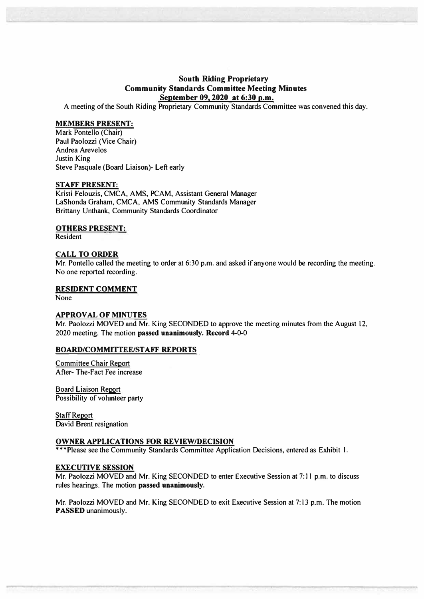# **South Riding Proprietary Community Standards Committee Meeting Minutes September 09, 2020 at 6:30 p.m.**

A meeting of the South Riding Proprietary Community Standards Committee was convened this day.

## **MEMBERS PRESENT:**

Mark Pontello (Chair) Paul Paolozzi (Vice Chair) Andrea Arevelos Justin King Steve Pasquale (Board Liaison)- Left early

#### **STAFF PRESENT:**

Kristi Felouzis, CMCA, AMS, PCAM, Assistant General Manager LaShonda Graham, CMCA, AMS Community Standards Manager Brittany Unthank, Community Standards Coordinator

#### **OTHERS PRESENT:**

Resident

#### **CALL TO ORDER**

Mr. Pontello called the meeting to order at 6:30 p.m. and asked if anyone would be recording the meeting. No one reported recording.

#### **RESIDENT COMMENT**

None

## **APPROVAL OF MINUTES**

Mr. Paolozzi MOVED and Mr. King SECONDED to approve the meeting minutes from the August 12, 2020 meeting. The motion **passed unanimously. Record** 4-0-0

#### **BOARD/COMMITTEE/STAFF REPORTS**

Committee Chair Report After- The-Fact Fee increase

Board Liaison Report Possibility of volunteer party

Staff Report David Brent resignation

## **OWNER APPLICATIONS FOR REVIEW/DECISION**

\*\*\*Please see the Community Standards Committee Application Decisions, entered as Exhibit I.

## **EXECUTIVE SESSION**

Mr. Paolozzi MOVED and Mr. King SECONDED to enter Executive Session at 7: 11 p.m. to discuss rules hearings. The motion **passed unanimously.** 

Mr. Paolozzi MOVED and Mr. King SECONDED to exit Executive Session at 7: 13 p.m. The motion **PASSED** unanimously.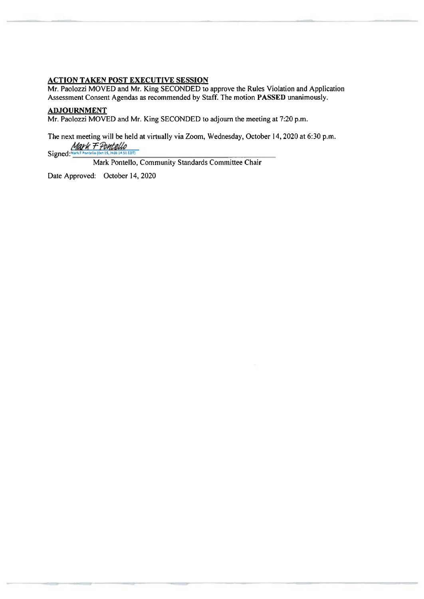## **ACTION TAKEN POST EXECUTIVE SESSION**

Mr. Paolozzi MOVED and Mr. King SECONDED to approve the Rules Violation and Application Assessment Consent Agendas as recommended by Staff. The motion PASSED unanimously.

## **ADJOURNMENT**

Mr. Paolozzi MOVED and Mr. King SECONDED to adjourn the meeting at 7:20 p.m.

The next meeting will be held at virtually via Zoom, Wednesday, October 14, 2020 at 6:30 p.m. Mark F Pontello<br>Signed:"""" Pontello (Oci 15, 2010 14 51 EDT)

Mark Pontello, Community Standards Committee Chair

Date Approved: October 14, 2020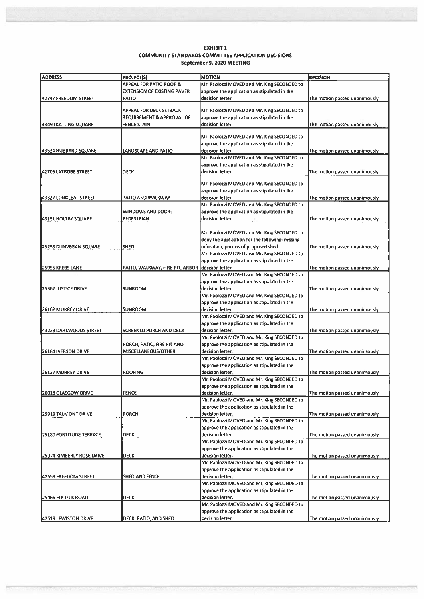#### **EXHIBIT 1 COMMUNITY STANDARDS COMMITTEE APPLICATION DECISIONS** September 9, 2020 MEETING

| <b>ADDRESS</b>             | PROJECT(S)                           | <b>MOTION</b>                                                   | <b>DECISION</b>               |
|----------------------------|--------------------------------------|-----------------------------------------------------------------|-------------------------------|
|                            | <b>APPEAL FOR PATIO ROOF &amp;</b>   | Mr. Paolozzi MOVED and Mr. King SECONDED to                     |                               |
|                            | <b>EXTENSION OF EXISTING PAVER</b>   | approve the application as stipulated in the                    |                               |
| 42747 FREEDOM STREET       | <b>PATIO</b>                         | decision letter.                                                | The motion passed unanimously |
|                            |                                      |                                                                 |                               |
|                            | APPEAL FOR DECK SETBACK              | Mr. Paolozzi MOVED and Mr. King SECONDED to                     |                               |
|                            | <b>REQUIREMENT &amp; APPROVAL OF</b> | approve the application as stipulated in the                    |                               |
| 43450 KATLING SQUARE       | <b>FENCE STAIN</b>                   | decision letter.                                                | The motion passed unanimously |
|                            |                                      |                                                                 |                               |
|                            |                                      | Mr. Paolozzi MOVED and Mr. King SECONDED to                     |                               |
|                            |                                      | approve the application as stipulated in the                    |                               |
| 43534 HUBBARD SQUARE       | LANDSCAPE AND PATIO                  | decision letter.                                                | The motion passed unanimously |
|                            |                                      | Mr. Paolozzi MOVED and Mr. King SECONDED to                     |                               |
|                            |                                      | approve the application as stipulated in the                    |                               |
| 42705 LATROBE STREET       | <b>DECK</b>                          | decision letter.                                                | The motion passed unanimously |
|                            |                                      | Mr. Paolozzi MOVED and Mr. King SECONDED to                     |                               |
|                            |                                      | approve the application as stipulated in the                    |                               |
| 43327 LONGLEAF STREET      | PATIO AND WALKWAY                    | decision letter.                                                | The motion passed unanimously |
|                            |                                      | Mr. Paolozzi MOVED and Mr. King SECONDED to                     |                               |
|                            | WINDOWS AND DOOR:                    | approve the application as stipulated in the                    |                               |
| 43131 HOLTBY SQUARE        | PEDESTRIAN                           | decision letter.                                                | The motion passed unanimously |
|                            |                                      |                                                                 |                               |
|                            |                                      | Mr. Paolozzi MOVED and Mr. King SECONDED to                     |                               |
|                            |                                      | deny the application for the following: missing                 |                               |
| 25238 DUNVEGAN SQUARE      | <b>SHED</b>                          | inforation, photos of proposed shed                             | The motion passed unanimously |
|                            |                                      | Mr. Paolozzi MOVED and Mr. King SECONDED to                     |                               |
|                            |                                      | approve the application as stipulated in the                    |                               |
| 25955 KREBS LANE           | PATIO, WALKWAY, FIRE PIT, ARBOR      | decision letter.                                                | The motion passed unanimously |
|                            |                                      | Mr. Paolozzi MOVED and Mr. King SECONDED to                     |                               |
|                            |                                      | approve the application as stipulated in the                    |                               |
| <b>25367 JUSTICE DRIVE</b> | <b>SUNROOM</b>                       | decision letter.                                                | The motion passed unanimously |
|                            |                                      | Mr. Paolozzi MOVED and Mr. King SECONDED to                     |                               |
|                            |                                      | approve the application as stipulated in the                    |                               |
| <b>26162 MURREY DRIVE</b>  | <b>SUNROOM</b>                       | decision letter.                                                | The motion passed unanimously |
|                            |                                      | Mr. Paolozzi MOVED and Mr. King SECONDED to                     |                               |
|                            |                                      | approve the application as stipulated in the                    |                               |
| 43229 DARKWOODS STREET     | <b>SCREENED PORCH AND DECK</b>       | decision letter.                                                | The motion passed unanimously |
|                            |                                      | Mr. Paolozzi MOVED and Mr. King SECONDED to                     |                               |
|                            | PORCH, PATIO, FIRE PIT AND           | approve the application as stipulated in the                    |                               |
| 26184 IVERSON DRIVE        | MISCELLANEOUS/OTHER                  | decision letter.                                                | The motion passed unanimously |
|                            |                                      | Mr. Paolozzi MOVED and Mr. King SECONDED to                     |                               |
|                            |                                      | approve the application as stipulated in the                    |                               |
| <b>26127 MURREY DRIVE</b>  | <b>ROOFING</b>                       | decision letter.                                                | The motion passed unanimously |
|                            |                                      | Mr. Paolozzi MOVED and Mr. King SECONDED to                     |                               |
|                            |                                      | approve the application as stipulated in the                    |                               |
| 26018 GLASGOW DRIVE        | <b>FENCE</b>                         | decision letter.                                                | The motion passed unanimously |
|                            |                                      | Mr. Paolozzi MOVED and Mr. King SECONDED to                     |                               |
|                            |                                      | approve the application as stipulated in the                    |                               |
| 25919 TALMONT DRIVE        | PORCH                                | decision letter.<br>Mr. Paolozzi MOVED and Mr. King SECONDED to | The motion passed unanimously |
|                            |                                      |                                                                 |                               |
|                            | <b>DECK</b>                          | approve the application as stipulated in the                    |                               |
| 25180 FORTITUDE TERRACE    |                                      | decision letter.<br>Mr. Paolozzi MOVED and Mr. King SECONDED to | The motion passed unanimously |
|                            |                                      | approve the application as stipulated in the                    |                               |
| 25974 KIMBERLY ROSE DRIVE  | <b>DECK</b>                          | decision letter.                                                | The motion passed unanimously |
|                            |                                      | Mr. Paolozzi MOVED and Mr. King SECONDED to                     |                               |
|                            |                                      | approve the application as stipulated in the                    |                               |
|                            | SHED AND FENCE                       | decision letter.                                                | The motion passed unanimously |
| 42659 FREEDOM STREET       |                                      | Mr. Paolozzi MOVED and Mr. King SECONDED to                     |                               |
|                            |                                      | approve the application as stipulated in the                    |                               |
| <b>25466 ELK LICK ROAD</b> | <b>DECK</b>                          | decision letter.                                                | The motion passed unanimously |
|                            |                                      | Mr. Paolozzi MOVED and Mr. King SECONDED to                     |                               |
|                            |                                      | approve the application as stipulated in the                    |                               |
|                            | DECK, PATIO, AND SHED                | decision letter.                                                | The motion passed unanimously |
| 42519 LEWISTON DRIVE       |                                      |                                                                 |                               |